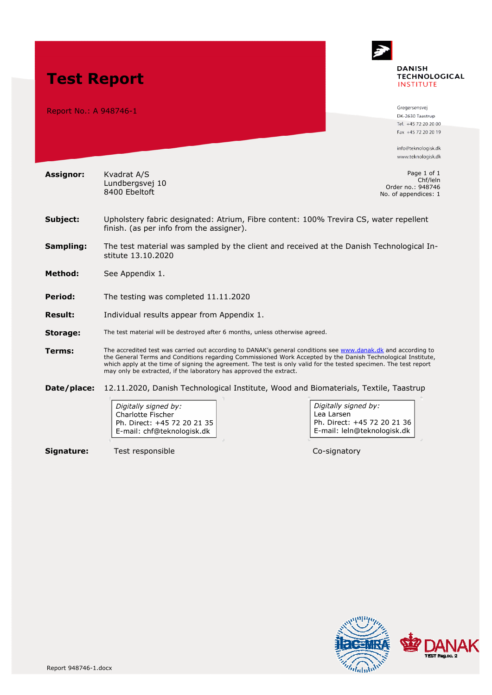

Digitally signed by: Charlotte Fischer Ph. Direct: +45 72 20 21 35 E-mail: chf@teknologisk.dk

**Signature:** Test responsible Co-signatory

Digitally signed by: Lea Larsen Ph. Direct: +45 72 20 21 36 E-mail: leln@teknologisk.dk

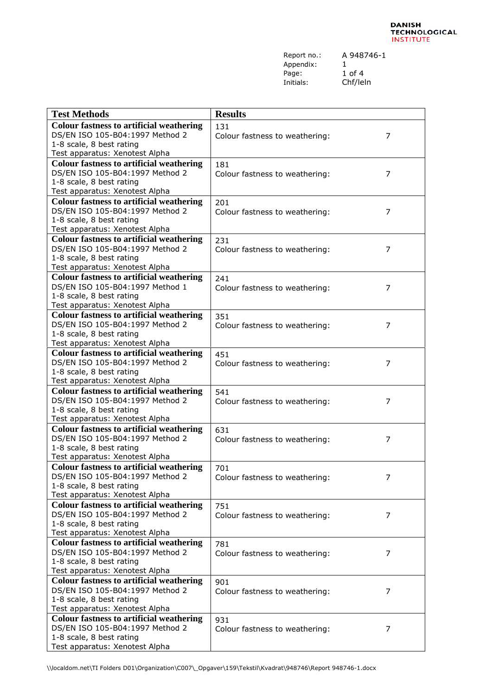Report no.: A 948746-1 Appendix: 1<br>Page: 1 Page: 1 of 4<br>Initials: Chf/lel

Chf/leln

| <b>Test Methods</b>                                                                | <b>Results</b>                                   |  |
|------------------------------------------------------------------------------------|--------------------------------------------------|--|
|                                                                                    |                                                  |  |
| <b>Colour fastness to artificial weathering</b>                                    | 131                                              |  |
| DS/EN ISO 105-B04:1997 Method 2                                                    | 7<br>Colour fastness to weathering:              |  |
| 1-8 scale, 8 best rating                                                           |                                                  |  |
| Test apparatus: Xenotest Alpha                                                     |                                                  |  |
| <b>Colour fastness to artificial weathering</b>                                    | 181                                              |  |
| DS/EN ISO 105-B04:1997 Method 2                                                    | Colour fastness to weathering:<br>7              |  |
| 1-8 scale, 8 best rating                                                           |                                                  |  |
| Test apparatus: Xenotest Alpha                                                     |                                                  |  |
| <b>Colour fastness to artificial weathering</b>                                    | 201                                              |  |
| DS/EN ISO 105-B04:1997 Method 2                                                    | $\overline{7}$<br>Colour fastness to weathering: |  |
| 1-8 scale, 8 best rating                                                           |                                                  |  |
| Test apparatus: Xenotest Alpha                                                     |                                                  |  |
| <b>Colour fastness to artificial weathering</b>                                    | 231                                              |  |
| DS/EN ISO 105-B04:1997 Method 2                                                    | 7<br>Colour fastness to weathering:              |  |
| 1-8 scale, 8 best rating                                                           |                                                  |  |
| Test apparatus: Xenotest Alpha                                                     |                                                  |  |
| <b>Colour fastness to artificial weathering</b>                                    | 241                                              |  |
| DS/EN ISO 105-B04:1997 Method 1                                                    |                                                  |  |
| 1-8 scale, 8 best rating                                                           | Colour fastness to weathering:<br>7              |  |
|                                                                                    |                                                  |  |
| Test apparatus: Xenotest Alpha                                                     |                                                  |  |
| <b>Colour fastness to artificial weathering</b>                                    | 351                                              |  |
| DS/EN ISO 105-B04:1997 Method 2                                                    | $\overline{7}$<br>Colour fastness to weathering: |  |
| 1-8 scale, 8 best rating                                                           |                                                  |  |
| Test apparatus: Xenotest Alpha                                                     |                                                  |  |
| <b>Colour fastness to artificial weathering</b>                                    | 451                                              |  |
| DS/EN ISO 105-B04:1997 Method 2                                                    | 7<br>Colour fastness to weathering:              |  |
| 1-8 scale, 8 best rating                                                           |                                                  |  |
| Test apparatus: Xenotest Alpha                                                     |                                                  |  |
| <b>Colour fastness to artificial weathering</b>                                    | 541                                              |  |
| DS/EN ISO 105-B04:1997 Method 2                                                    | Colour fastness to weathering:<br>7              |  |
| 1-8 scale, 8 best rating                                                           |                                                  |  |
| Test apparatus: Xenotest Alpha                                                     |                                                  |  |
| <b>Colour fastness to artificial weathering</b>                                    | 631                                              |  |
| DS/EN ISO 105-B04:1997 Method 2                                                    | 7<br>Colour fastness to weathering:              |  |
| 1-8 scale, 8 best rating                                                           |                                                  |  |
| Test apparatus: Xenotest Alpha                                                     |                                                  |  |
| <b>Colour fastness to artificial weathering</b>                                    | 701                                              |  |
| DS/EN ISO 105-B04:1997 Method 2                                                    | 7<br>Colour fastness to weathering:              |  |
| 1-8 scale, 8 best rating                                                           |                                                  |  |
| Test apparatus: Xenotest Alpha                                                     |                                                  |  |
| <b>Colour fastness to artificial weathering</b>                                    | 751                                              |  |
| DS/EN ISO 105-B04:1997 Method 2                                                    | Colour fastness to weathering:<br>7              |  |
| 1-8 scale, 8 best rating                                                           |                                                  |  |
| Test apparatus: Xenotest Alpha                                                     |                                                  |  |
|                                                                                    |                                                  |  |
| <b>Colour fastness to artificial weathering</b><br>DS/EN ISO 105-B04:1997 Method 2 | 781                                              |  |
|                                                                                    | 7<br>Colour fastness to weathering:              |  |
| 1-8 scale, 8 best rating                                                           |                                                  |  |
| Test apparatus: Xenotest Alpha                                                     |                                                  |  |
| <b>Colour fastness to artificial weathering</b>                                    | 901                                              |  |
| DS/EN ISO 105-B04:1997 Method 2                                                    | Colour fastness to weathering:<br>7              |  |
| 1-8 scale, 8 best rating                                                           |                                                  |  |
| Test apparatus: Xenotest Alpha                                                     |                                                  |  |
| <b>Colour fastness to artificial weathering</b>                                    | 931                                              |  |
| DS/EN ISO 105-B04:1997 Method 2                                                    | Colour fastness to weathering:<br>7              |  |
| 1-8 scale, 8 best rating                                                           |                                                  |  |
| Test apparatus: Xenotest Alpha                                                     |                                                  |  |

\\localdom.net\TI Folders D01\Organization\C007\\_Opgaver\159\Tekstil\Kvadrat\948746\Report 948746-1.docx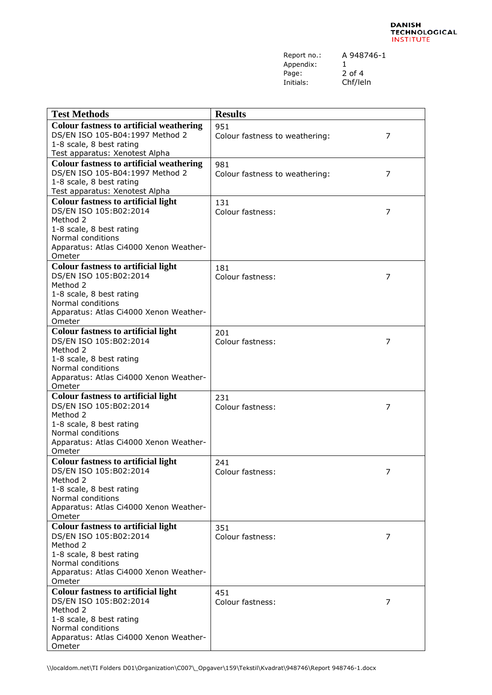Report no.: A 948746-1 Appendix: 1<br>Page: 2 Page: 2 of 4<br>Initials: Chf/lel

Chf/leln

| <b>Test Methods</b>                                         | <b>Results</b>                 |   |
|-------------------------------------------------------------|--------------------------------|---|
| <b>Colour fastness to artificial weathering</b>             | 951                            |   |
| DS/EN ISO 105-B04:1997 Method 2                             | Colour fastness to weathering: | 7 |
| 1-8 scale, 8 best rating                                    |                                |   |
| Test apparatus: Xenotest Alpha                              |                                |   |
| <b>Colour fastness to artificial weathering</b>             | 981                            |   |
| DS/EN ISO 105-B04:1997 Method 2                             | Colour fastness to weathering: | 7 |
| 1-8 scale, 8 best rating                                    |                                |   |
| Test apparatus: Xenotest Alpha                              |                                |   |
| <b>Colour fastness to artificial light</b>                  | 131                            |   |
| DS/EN ISO 105:B02:2014                                      | Colour fastness:               | 7 |
| Method 2                                                    |                                |   |
| 1-8 scale, 8 best rating                                    |                                |   |
| Normal conditions                                           |                                |   |
| Apparatus: Atlas Ci4000 Xenon Weather-                      |                                |   |
| Ometer                                                      |                                |   |
| <b>Colour fastness to artificial light</b>                  | 181                            |   |
| DS/EN ISO 105:B02:2014                                      | Colour fastness:               | 7 |
| Method 2                                                    |                                |   |
| 1-8 scale, 8 best rating                                    |                                |   |
| Normal conditions                                           |                                |   |
| Apparatus: Atlas Ci4000 Xenon Weather-                      |                                |   |
| Ometer                                                      |                                |   |
| <b>Colour fastness to artificial light</b>                  | 201                            |   |
| DS/EN ISO 105:B02:2014                                      | Colour fastness:               | 7 |
| Method 2                                                    |                                |   |
| 1-8 scale, 8 best rating                                    |                                |   |
| Normal conditions                                           |                                |   |
| Apparatus: Atlas Ci4000 Xenon Weather-                      |                                |   |
| Ometer                                                      |                                |   |
| <b>Colour fastness to artificial light</b>                  | 231                            |   |
| DS/EN ISO 105:B02:2014                                      | Colour fastness:               | 7 |
| Method 2                                                    |                                |   |
| 1-8 scale, 8 best rating                                    |                                |   |
| Normal conditions<br>Apparatus: Atlas Ci4000 Xenon Weather- |                                |   |
| Ometer                                                      |                                |   |
| <b>Colour fastness to artificial light</b>                  | 241                            |   |
| DS/EN ISO 105:B02:2014                                      |                                |   |
| Method 2                                                    | Colour fastness:               | 7 |
| 1-8 scale, 8 best rating                                    |                                |   |
| Normal conditions                                           |                                |   |
| Apparatus: Atlas Ci4000 Xenon Weather-                      |                                |   |
| Ometer                                                      |                                |   |
| <b>Colour fastness to artificial light</b>                  | 351                            |   |
| DS/EN ISO 105:B02:2014                                      | Colour fastness:               | 7 |
| Method 2                                                    |                                |   |
| 1-8 scale, 8 best rating                                    |                                |   |
| Normal conditions                                           |                                |   |
| Apparatus: Atlas Ci4000 Xenon Weather-                      |                                |   |
| Ometer                                                      |                                |   |
| <b>Colour fastness to artificial light</b>                  | 451                            |   |
| DS/EN ISO 105:B02:2014                                      | Colour fastness:               | 7 |
| Method 2                                                    |                                |   |
| 1-8 scale, 8 best rating                                    |                                |   |
| Normal conditions                                           |                                |   |
| Apparatus: Atlas Ci4000 Xenon Weather-                      |                                |   |
| Ometer                                                      |                                |   |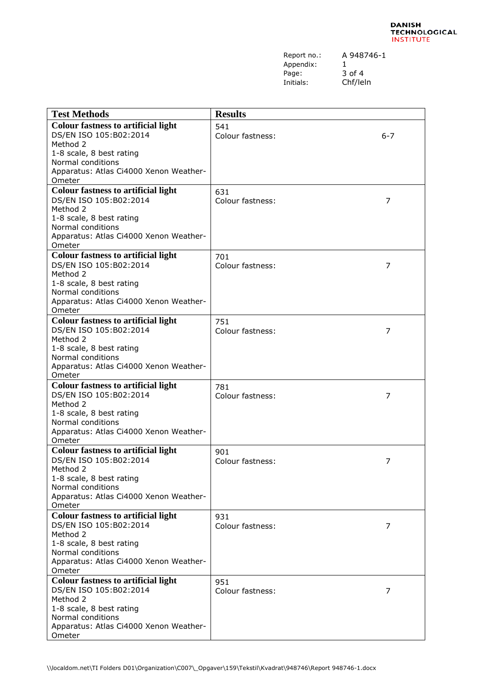| Report no.: | А |
|-------------|---|
| Appendix:   | 1 |
| Page:       | 3 |
| Initials:   |   |

A 948746-1 3 of 4 Chf/leln

| <b>Test Methods</b>                           | <b>Results</b>   |         |
|-----------------------------------------------|------------------|---------|
| <b>Colour fastness to artificial light</b>    | 541              |         |
| DS/EN ISO 105:B02:2014                        | Colour fastness: | $6 - 7$ |
| Method 2                                      |                  |         |
| 1-8 scale, 8 best rating                      |                  |         |
| Normal conditions                             |                  |         |
| Apparatus: Atlas Ci4000 Xenon Weather-        |                  |         |
| Ometer                                        |                  |         |
| <b>Colour fastness to artificial light</b>    | 631              |         |
| DS/EN ISO 105:B02:2014                        | Colour fastness: | 7       |
| Method 2                                      |                  |         |
| 1-8 scale, 8 best rating                      |                  |         |
| Normal conditions                             |                  |         |
| Apparatus: Atlas Ci4000 Xenon Weather-        |                  |         |
| Ometer                                        |                  |         |
| <b>Colour fastness to artificial light</b>    | 701              |         |
| DS/EN ISO 105:B02:2014                        | Colour fastness: | 7       |
| Method 2                                      |                  |         |
| 1-8 scale, 8 best rating<br>Normal conditions |                  |         |
| Apparatus: Atlas Ci4000 Xenon Weather-        |                  |         |
| Ometer                                        |                  |         |
| <b>Colour fastness to artificial light</b>    | 751              |         |
| DS/EN ISO 105:B02:2014                        | Colour fastness: | 7       |
| Method 2                                      |                  |         |
| 1-8 scale, 8 best rating                      |                  |         |
| Normal conditions                             |                  |         |
| Apparatus: Atlas Ci4000 Xenon Weather-        |                  |         |
| Ometer                                        |                  |         |
| <b>Colour fastness to artificial light</b>    | 781              |         |
| DS/EN ISO 105:B02:2014                        | Colour fastness: | 7       |
| Method 2                                      |                  |         |
| 1-8 scale, 8 best rating<br>Normal conditions |                  |         |
| Apparatus: Atlas Ci4000 Xenon Weather-        |                  |         |
| Ometer                                        |                  |         |
| <b>Colour fastness to artificial light</b>    | 901              |         |
| DS/EN ISO 105:B02:2014                        | Colour fastness: | 7       |
| Method 2                                      |                  |         |
| 1-8 scale, 8 best rating                      |                  |         |
| Normal conditions                             |                  |         |
| Apparatus: Atlas Ci4000 Xenon Weather-        |                  |         |
| Ometer                                        |                  |         |
| <b>Colour fastness to artificial light</b>    | 931              |         |
| DS/EN ISO 105:B02:2014                        | Colour fastness: | 7       |
| Method 2<br>1-8 scale, 8 best rating          |                  |         |
| Normal conditions                             |                  |         |
| Apparatus: Atlas Ci4000 Xenon Weather-        |                  |         |
| Ometer                                        |                  |         |
| <b>Colour fastness to artificial light</b>    | 951              |         |
| DS/EN ISO 105:B02:2014                        | Colour fastness: | 7       |
| Method 2                                      |                  |         |
| 1-8 scale, 8 best rating                      |                  |         |
| Normal conditions                             |                  |         |
| Apparatus: Atlas Ci4000 Xenon Weather-        |                  |         |
| Ometer                                        |                  |         |